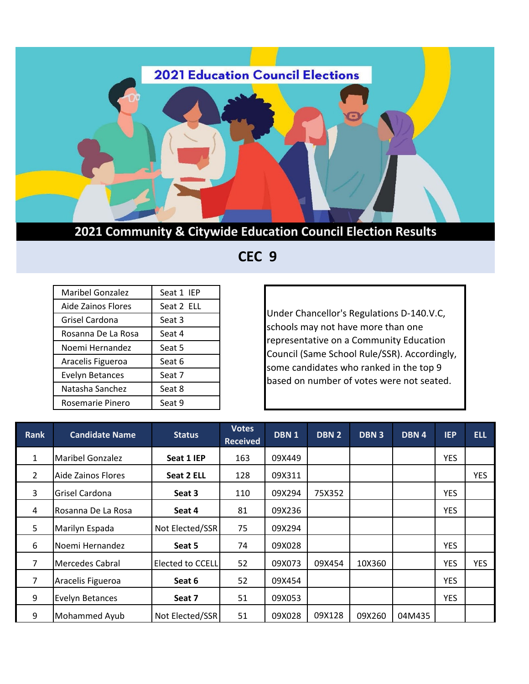

 **CEC 9**

| <b>Maribel Gonzalez</b> | Seat 1 IEP |
|-------------------------|------------|
| Aide Zainos Flores      | Seat 2 ELL |
| Grisel Cardona          | Seat 3     |
| Rosanna De La Rosa      | Seat 4     |
| Noemi Hernandez         | Seat 5     |
| Aracelis Figueroa       | Seat 6     |
| <b>Evelyn Betances</b>  | Seat 7     |
| Natasha Sanchez         | Seat 8     |
| Rosemarie Pinero        | Seat 9     |

Under Chancellor's Regulations D-140.V.C, schools may not have more than one representative on a Community Education Council (Same School Rule/SSR). Accordingly, some candidates who ranked in the top 9 based on number of votes were not seated.

| <b>Rank</b>    | <b>Candidate Name</b>  | <b>Status</b>    | <b>Votes</b><br><b>Received</b> | DBN <sub>1</sub> | DBN <sub>2</sub> | <b>DBN3</b> | DBN 4  | <b>IEP</b> | <b>ELL</b> |
|----------------|------------------------|------------------|---------------------------------|------------------|------------------|-------------|--------|------------|------------|
| $\mathbf{1}$   | Maribel Gonzalez       | Seat 1 IEP       | 163                             | 09X449           |                  |             |        | <b>YES</b> |            |
| $\overline{2}$ | Aide Zainos Flores     | Seat 2 ELL       | 128                             | 09X311           |                  |             |        |            | <b>YES</b> |
| 3              | Grisel Cardona         | Seat 3           | 110                             | 09X294           | 75X352           |             |        | <b>YES</b> |            |
| 4              | Rosanna De La Rosa     | Seat 4           | 81                              | 09X236           |                  |             |        | <b>YES</b> |            |
| 5              | Marilyn Espada         | Not Elected/SSR  | 75                              | 09X294           |                  |             |        |            |            |
| 6              | Noemi Hernandez        | Seat 5           | 74                              | 09X028           |                  |             |        | <b>YES</b> |            |
| 7              | <b>Mercedes Cabral</b> | Elected to CCELL | 52                              | 09X073           | 09X454           | 10X360      |        | <b>YES</b> | <b>YES</b> |
| 7              | Aracelis Figueroa      | Seat 6           | 52                              | 09X454           |                  |             |        | <b>YES</b> |            |
| 9              | <b>Evelyn Betances</b> | Seat 7           | 51                              | 09X053           |                  |             |        | <b>YES</b> |            |
| 9              | Mohammed Ayub          | Not Elected/SSR  | 51                              | 09X028           | 09X128           | 09X260      | 04M435 |            |            |